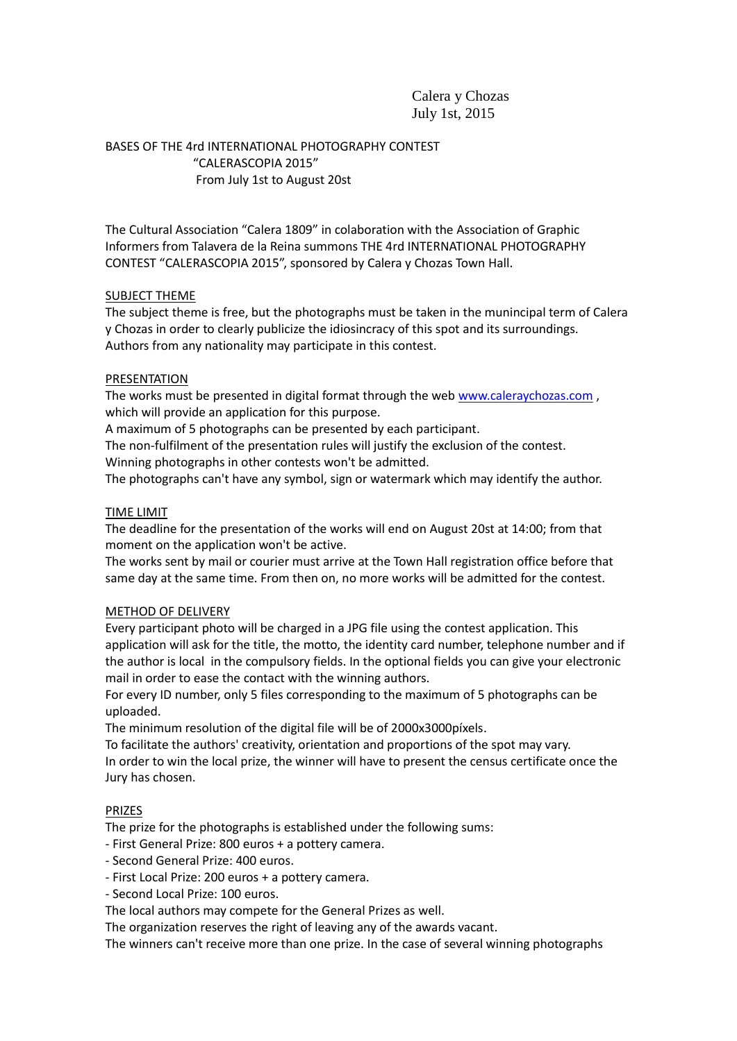# Calera y Chozas July 1st, 2015

BASES OF THE 4rd INTERNATIONAL PHOTOGRAPHY CONTEST "CALERASCOPIA 2015" From July 1st to August 20st

The Cultural Association "Calera 1809" in colaboration with the Association of Graphic Informers from Talavera de la Reina summons THE 4rd INTERNATIONAL PHOTOGRAPHY CONTEST "CALERASCOPIA 2015", sponsored by Calera y Chozas Town Hall.

## SUBJECT THEME

The subject theme is free, but the photographs must be taken in the munincipal term of Calera y Chozas in order to clearly publicize the idiosincracy of this spot and its surroundings. Authors from any nationality may participate in this contest.

## PRESENTATION

The works must be presented in digital format through the web [www.caleraychozas.com](http://www.caleraychozas.com/) , which will provide an application for this purpose.

A maximum of 5 photographs can be presented by each participant.

The non-fulfilment of the presentation rules will justify the exclusion of the contest. Winning photographs in other contests won't be admitted.

The photographs can't have any symbol, sign or watermark which may identify the author.

#### TIME LIMIT

The deadline for the presentation of the works will end on August 20st at 14:00; from that moment on the application won't be active.

The works sent by mail or courier must arrive at the Town Hall registration office before that same day at the same time. From then on, no more works will be admitted for the contest.

## METHOD OF DELIVERY

Every participant photo will be charged in a JPG file using the contest application. This application will ask for the title, the motto, the identity card number, telephone number and if the author is local in the compulsory fields. In the optional fields you can give your electronic mail in order to ease the contact with the winning authors.

For every ID number, only 5 files corresponding to the maximum of 5 photographs can be uploaded.

The minimum resolution of the digital file will be of 2000x3000píxels.

To facilitate the authors' creativity, orientation and proportions of the spot may vary. In order to win the local prize, the winner will have to present the census certificate once the Jury has chosen.

## PRIZES

The prize for the photographs is established under the following sums:

- First General Prize: 800 euros + a pottery camera.

- Second General Prize: 400 euros.
- First Local Prize: 200 euros + a pottery camera.
- Second Local Prize: 100 euros.

The local authors may compete for the General Prizes as well.

The organization reserves the right of leaving any of the awards vacant.

The winners can't receive more than one prize. In the case of several winning photographs